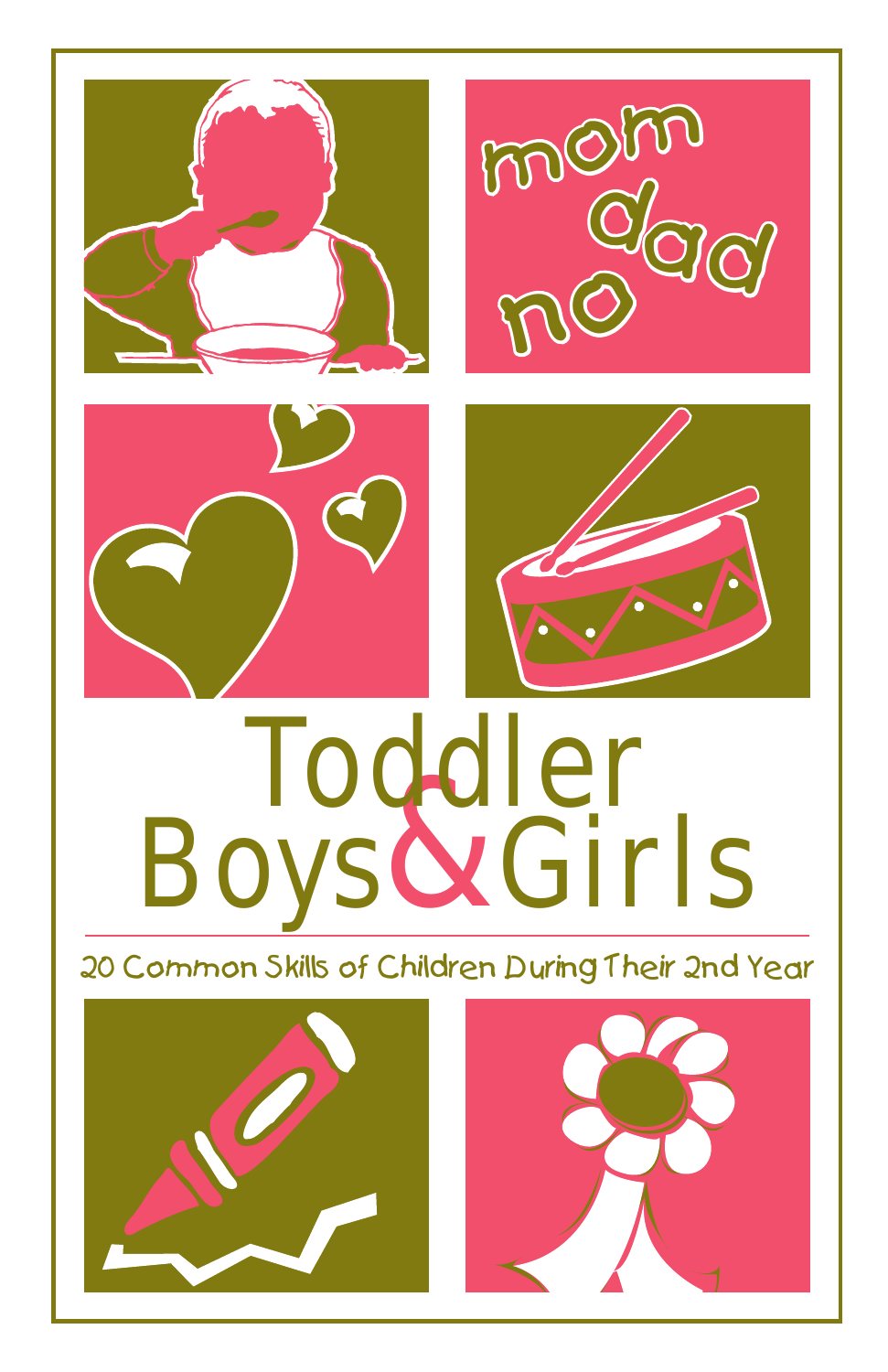

# Boys & Girls Toddler

20 Common Skills of Children During Their 2nd Year



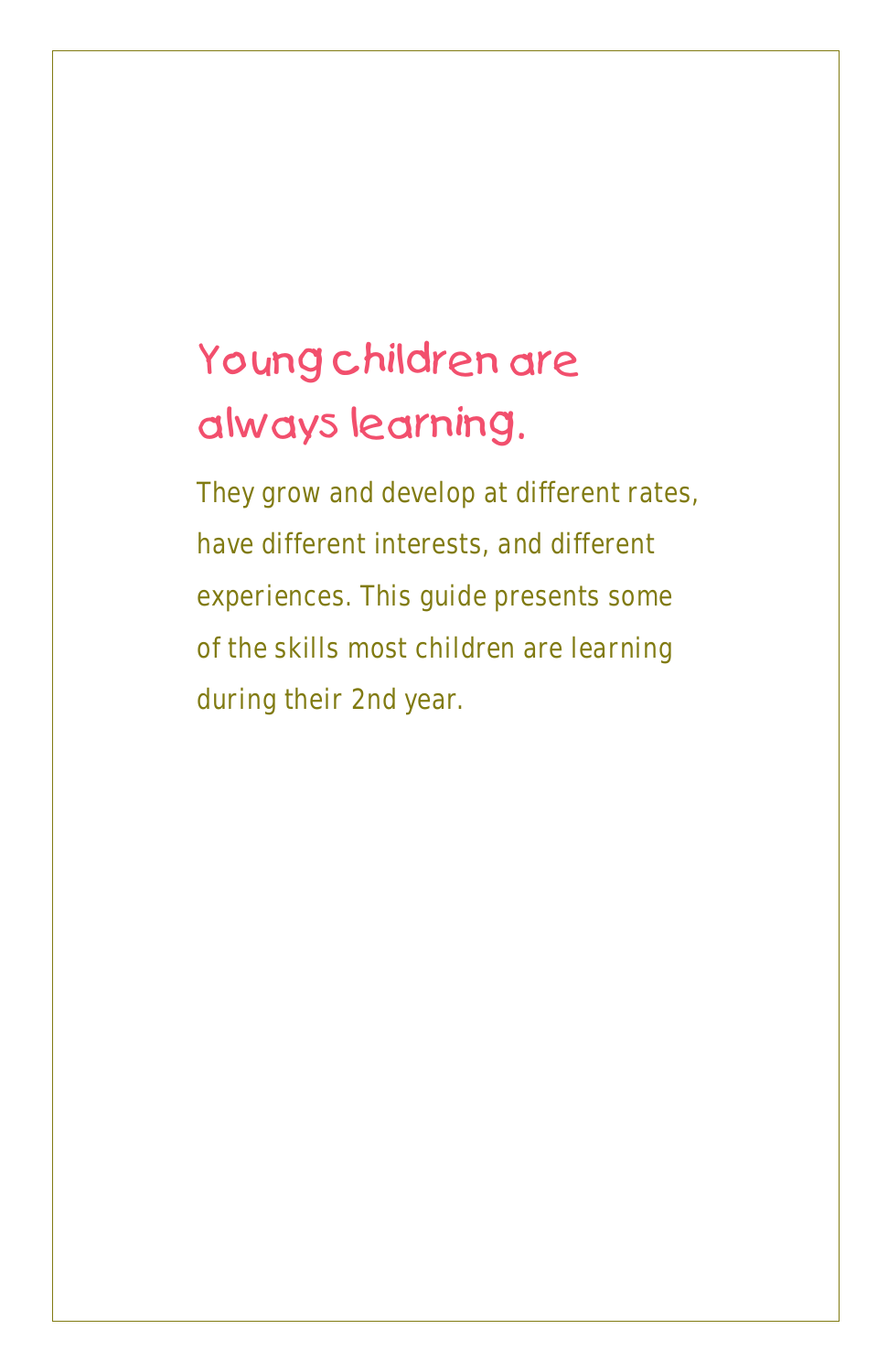# Young children are always learning.

They grow and develop at different rates, have different interests, and different experiences. This guide presents some of the skills most children are learning during their 2nd year.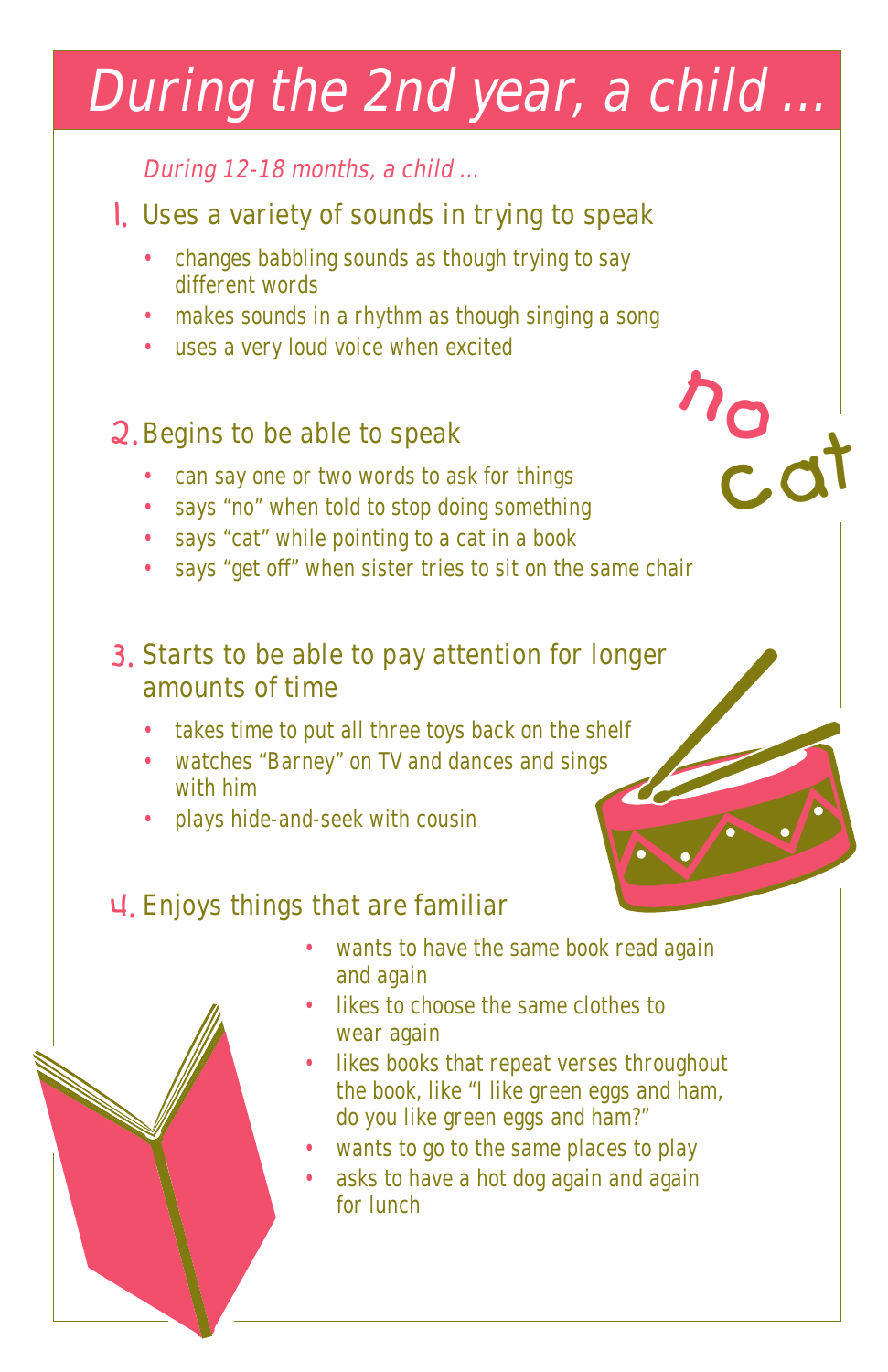# During the 2nd year, <sup>a</sup> child ...

## During 12-18 months, <sup>a</sup> child …

## 1. Uses a variety of sounds in trying to speak

- changes babbling sounds as though trying to say different words
- makes sounds in a rhythm as though singing a song
- uses a very loud voice when excited

## 2. Begins to be able to speak

- can say one or two words to ask for things
- says "no" when told to stop doing something
- says "cat" while pointing to a cat in a book
- says "get off" when sister tries to sit on the same chair

## 3. Starts to be able to pay attention for longer amounts of time

- takes time to put all three toys back on the shelf
- watches "Barney" on TV and dances and sings with him
- plays hide-and-seek with cousin

## 4. Enjoys things that are familiar

• wants to have the same book read again and again

nocat

- likes to choose the same clothes to wear again
- likes books that repeat verses throughout the book, like "I like green eggs and ham, do you like green eggs and ham?"
- wants to go to the same places to play
- asks to have a hot dog again and again for lunch

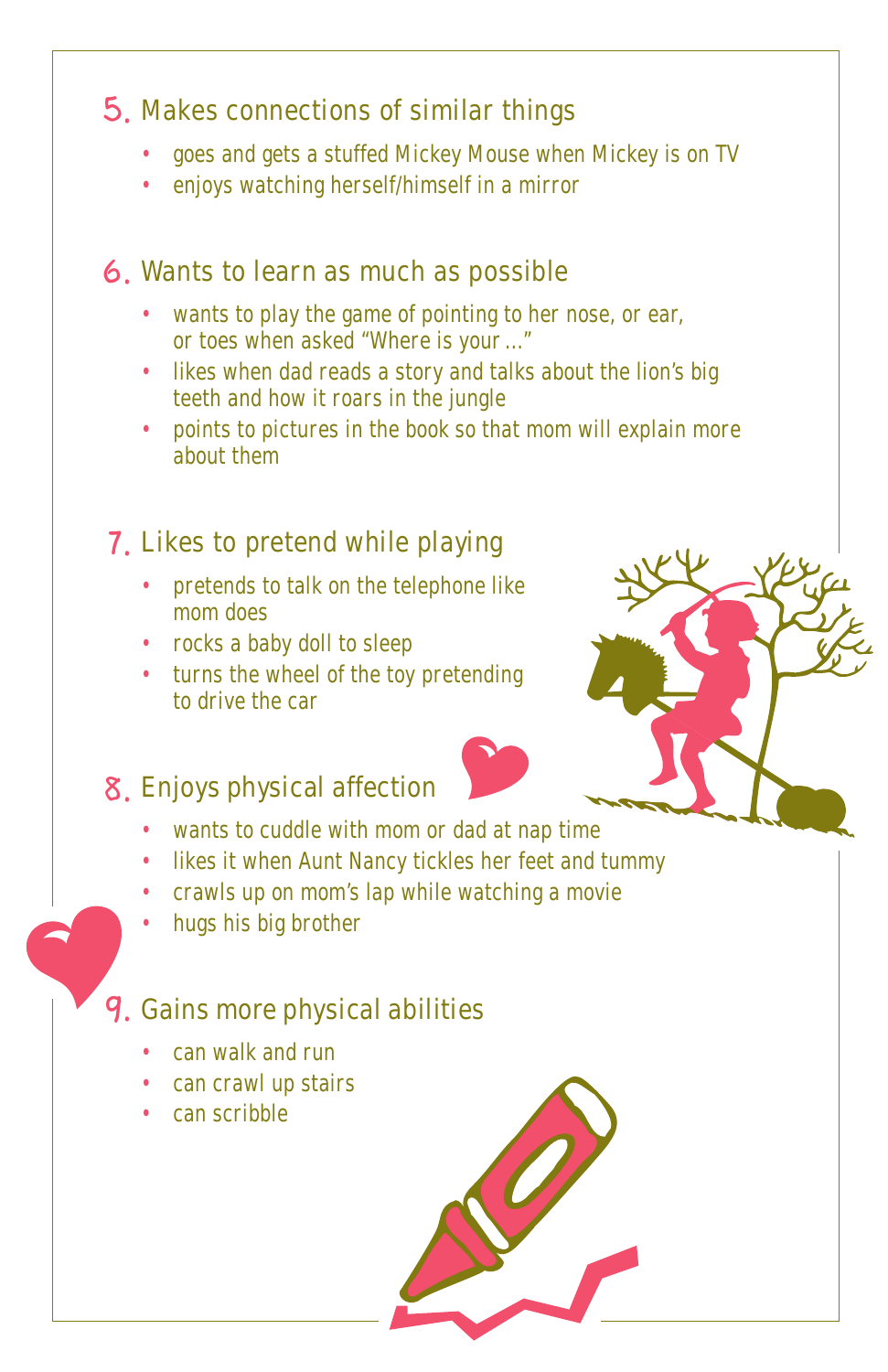## Makes connections of similar things 5.

- goes and gets a stuffed Mickey Mouse when Mickey is on TV •
- enjoys watching herself/himself in a mirror •

## 6. Wants to learn as much as possible

- wants to play the game of pointing to her nose, or ear, or toes when asked "Where is your ..."
- likes when dad reads a story and talks about the lion's big teeth and how it roars in the jungle
- points to pictures in the book so that mom will explain more about them •

## 7. Likes to pretend while playing

- pretends to talk on the telephone like mom does
- rocks a baby doll to sleep
- turns the wheel of the toy pretending to drive the car

## 8. Enjoys physical affection

- wants to cuddle with mom or dad at nap time •
- likes it when Aunt Nancy tickles her feet and tummy •
- crawls up on mom's lap while watching a movie
- hugs his big brother •

## 9. Gains more physical abilities

- can walk and run •
- can crawl up stairs •
- can scribble

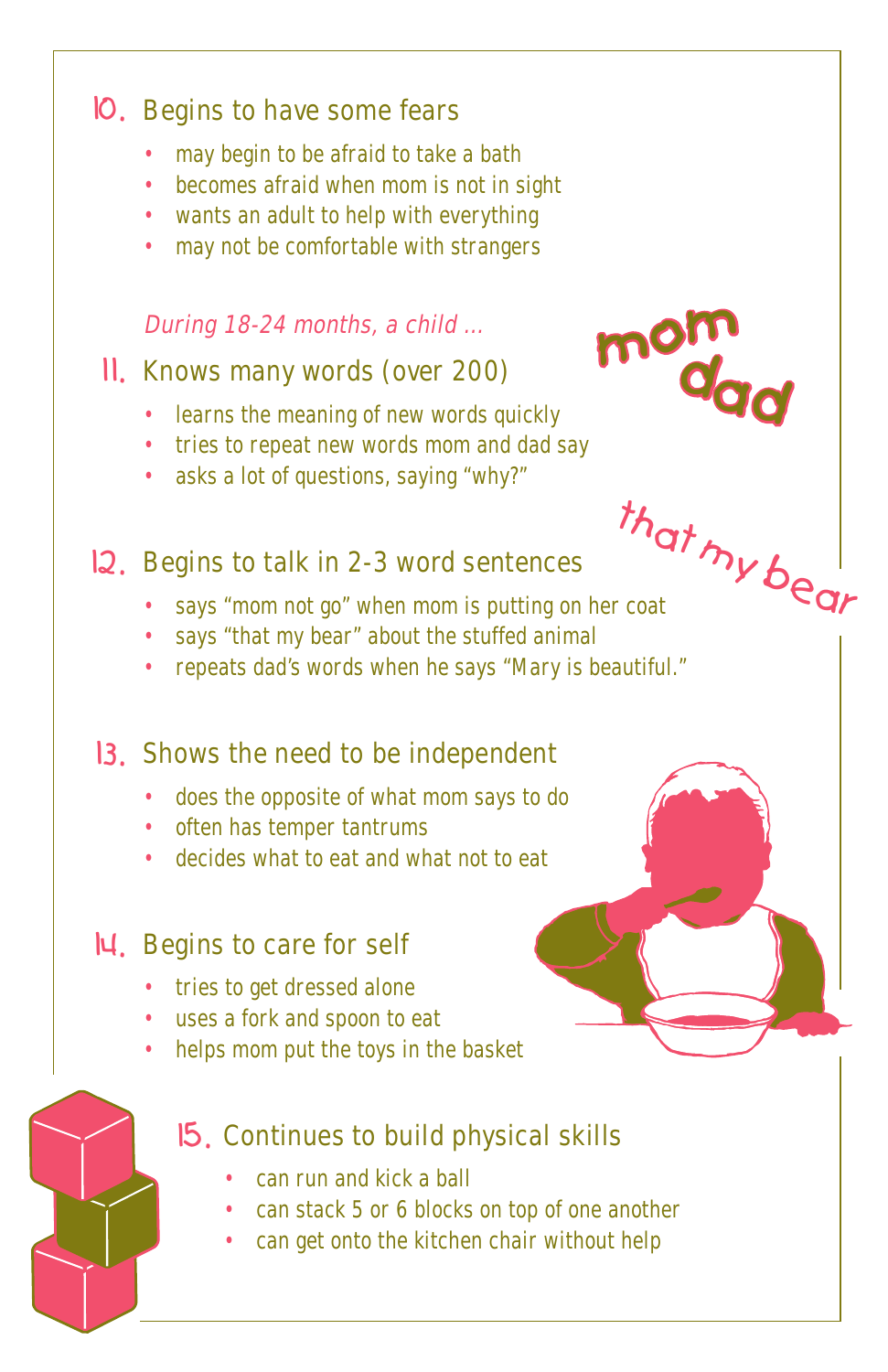## 10. Begins to have some fears

- may begin to be afraid to take a bath •
- becomes afraid when mom is not in sight
- wants an adult to help with everything
- may not be comfortable with strangers

#### During 18-24 months, a child …

### 11. Knows many words (over 200)

- learns the meaning of new words quickly
- tries to repeat new words mom and dad say
- asks a lot of questions, saying "why?"

## 12. Begins to talk in 2-3 word sentences

says "mom not go" when mom is putting on her coat •

that

mom<br>dad

my bear

- says "that my bear" about the stuffed animal
- repeats dad's words when he says "Mary is beautiful."

## 13. Shows the need to be independent

- does the opposite of what mom says to do
- often has temper tantrums
- decides what to eat and what not to eat

## 14. Begins to care for self

- tries to get dressed alone
- uses a fork and spoon to eat
- helps mom put the toys in the basket

## 15. Continues to build physical skills

- can run and kick a ball •
- can stack 5 or 6 blocks on top of one another
- can get onto the kitchen chair without help •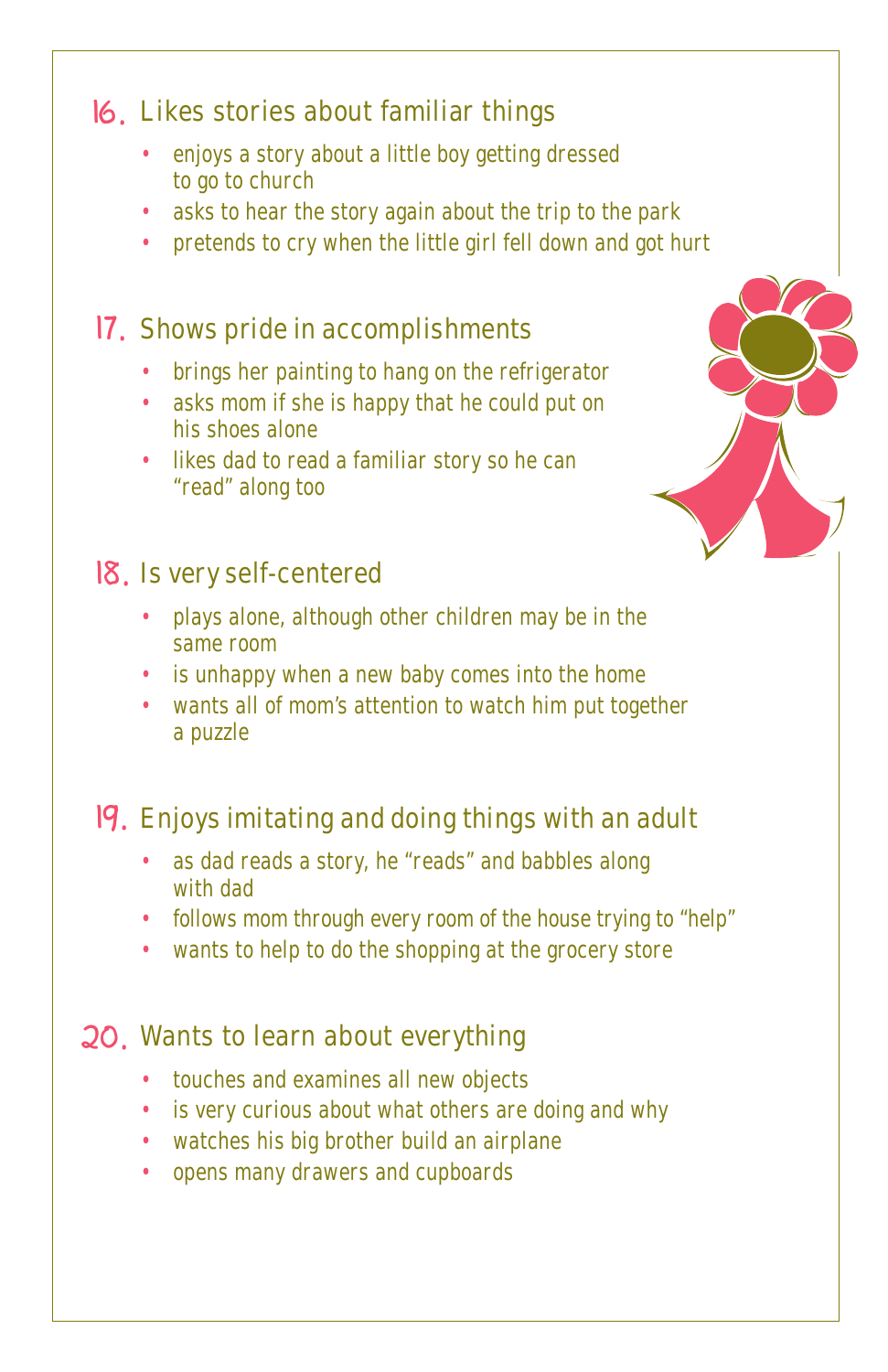## Likes stories about familiar things 16.

- enjoys a story about a little boy getting dressed to go to church •
- asks to hear the story again about the trip to the park •
- pretends to cry when the little girl fell down and got hurt

## 17. Shows pride in accomplishments

- brings her painting to hang on the refrigerator
- asks mom if she is happy that he could put on his shoes alone
- likes dad to read a familiar story so he can "read" along too

## 18. Is very self-centered

- plays alone, although other children may be in the same room
- is unhappy when a new baby comes into the home
- wants all of mom's attention to watch him put together a puzzle

## 19. Enjoys imitating and doing things with an adult

- as dad reads a story, he "reads" and babbles along with dad
- follows mom through every room of the house trying to "help"
- wants to help to do the shopping at the grocery store

## 20. Wants to learn about everything

- touches and examines all new objects
- is very curious about what others are doing and why
- watches his big brother build an airplane
- opens many drawers and cupboards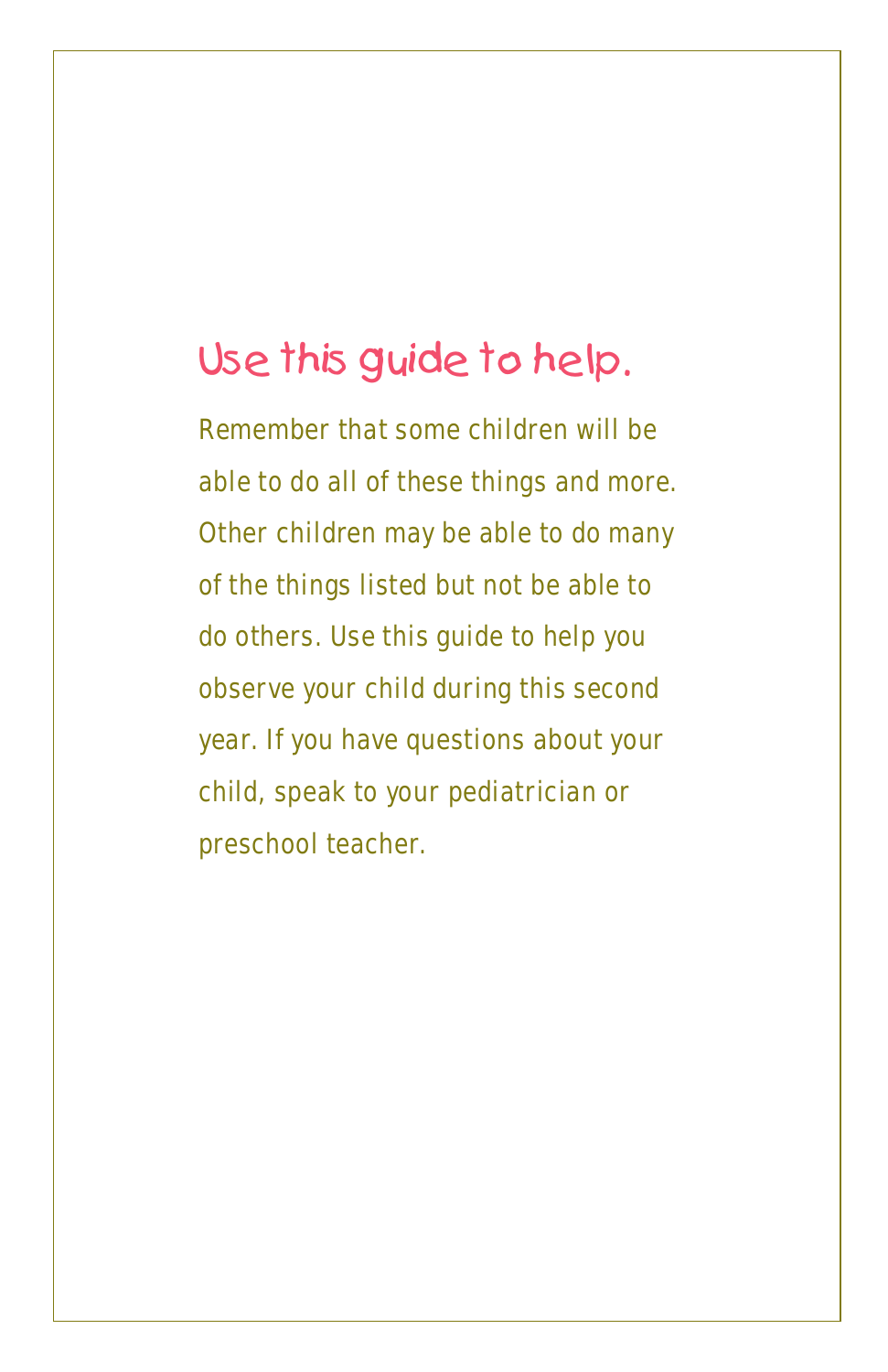## Use this guide to help.

Remember that some children will be able to do all of these things and more. Other children may be able to do many of the things listed but not be able to do others. Use this guide to help you observe your child during this second year. If you have questions about your child, speak to your pediatrician or preschool teacher.